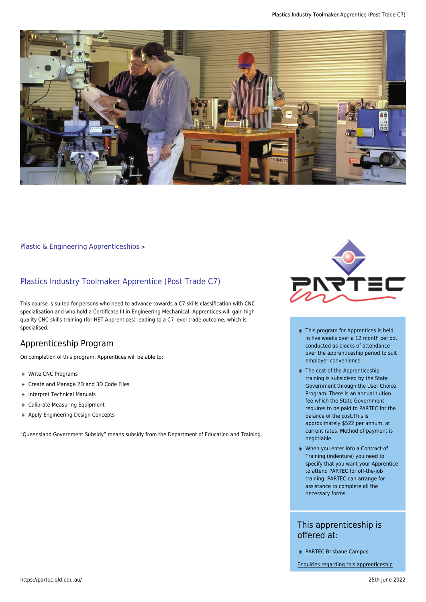

#### [Plastic & Engineering Apprenticeships](https://partec.qld.edu.au/plastic-engineering-apprenticeships/) >

### Plastics Industry Toolmaker Apprentice (Post Trade C7)

This course is suited for persons who need to advance towards a C7 skills classification with CNC specialisation and who hold a Certificate III in Engineering Mechanical. Apprentices will gain high quality CNC skills training (for HET Apprentices) leading to a C7 level trade outcome, which is specialised.

### Apprenticeship Program

On completion of this program, Apprentices will be able to:

- Write CNC Programs
- Create and Manage 2D and 3D Code Files
- + Interpret Technical Manuals
- Calibrate Measuring Equipment
- + Apply Engineering Design Concepts

"Queensland Government Subsidy" means subsidy from the Department of Education and Training.



- + This program for Apprentices is held in five weeks over a 12 month period, conducted as blocks of attendance over the apprenticeship period to suit employer convenience.
- + The cost of the Apprenticeship training is subsidised by the State Government through the User Choice Program. There is an annual tuition fee which the State Government requires to be paid to PARTEC for the balance of the cost.This is approximately \$522 per annum, at current rates. Method of payment is negotiable.
- When you enter into a Contract of Training (indenture) you need to specify that you want your Apprentice to attend PARTEC for off-the-job training. PARTEC can arrange for assistance to complete all the necessary forms.

## This apprenticeship is offered at:

[PARTEC Brisbane Campus](https://partec.qld.edu.au/contact-us/contact-partec-brisbane/)

[Enquiries regarding this apprenticeship](https://partec.qld.edu.au/contact-us/)